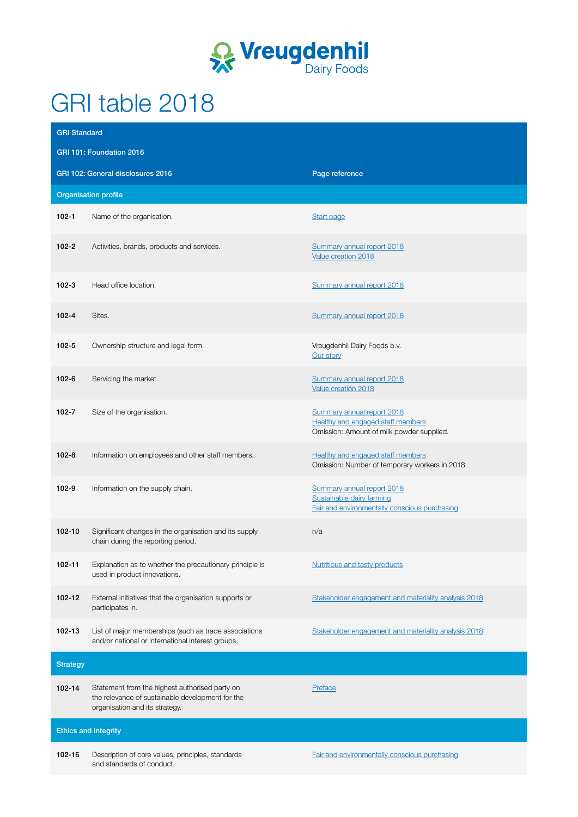

## GRI table 2018

| <b>GRI Standard</b>         |                                                                                                                                      |                                                                                                                     |  |  |
|-----------------------------|--------------------------------------------------------------------------------------------------------------------------------------|---------------------------------------------------------------------------------------------------------------------|--|--|
| GRI 101: Foundation 2016    |                                                                                                                                      |                                                                                                                     |  |  |
|                             | GRI 102: General disclosures 2016                                                                                                    | Page reference                                                                                                      |  |  |
|                             | <b>Organisation profile</b>                                                                                                          |                                                                                                                     |  |  |
| $102 - 1$                   | Name of the organisation.                                                                                                            | Start page                                                                                                          |  |  |
| $102 - 2$                   | Activities, brands, products and services.                                                                                           | Summary annual report 2018<br>Value creation 2018                                                                   |  |  |
| $102 - 3$                   | Head office location.                                                                                                                | Summary annual report 2018                                                                                          |  |  |
| $102 - 4$                   | Sites.                                                                                                                               | Summary annual report 2018                                                                                          |  |  |
| $102 - 5$                   | Ownership structure and legal form.                                                                                                  | Vreugdenhil Dairy Foods b.v.<br>Our story                                                                           |  |  |
| $102 - 6$                   | Servicing the market.                                                                                                                | Summary annual report 2018<br>Value creation 2018                                                                   |  |  |
| $102 - 7$                   | Size of the organisation.                                                                                                            | Summary annual report 2018<br><b>Healthy and engaged staff members</b><br>Omission: Amount of milk powder supplied. |  |  |
| $102 - 8$                   | Information on employees and other staff members.                                                                                    | <b>Healthy and engaged staff members</b><br>Omission: Number of temporary workers in 2018                           |  |  |
| $102 - 9$                   | Information on the supply chain.                                                                                                     | Summary annual report 2018<br>Sustainable dairy farming<br>Fair and environmentally conscious purchasing            |  |  |
| 102-10                      | Significant changes in the organisation and its supply<br>chain during the reporting period.                                         | n/a                                                                                                                 |  |  |
| 102-11                      | Explanation as to whether the precautionary principle is<br>used in product innovations.                                             | Nutritious and tasty products                                                                                       |  |  |
| 102-12                      | External initiatives that the organisation supports or<br>participates in.                                                           | Stakeholder engagement and materiality analysis 2018                                                                |  |  |
| 102-13                      | List of major memberships (such as trade associations<br>and/or national or international interest groups.                           | Stakeholder engagement and materiality analysis 2018                                                                |  |  |
| <b>Strategy</b>             |                                                                                                                                      |                                                                                                                     |  |  |
| 102-14                      | Statement from the highest authorised party on<br>the relevance of sustainable development for the<br>organisation and its strategy. | Preface                                                                                                             |  |  |
| <b>Ethics and integrity</b> |                                                                                                                                      |                                                                                                                     |  |  |
| 102-16                      | Description of core values, principles, standards<br>and standards of conduct.                                                       | Fair and environmentally conscious purchasing                                                                       |  |  |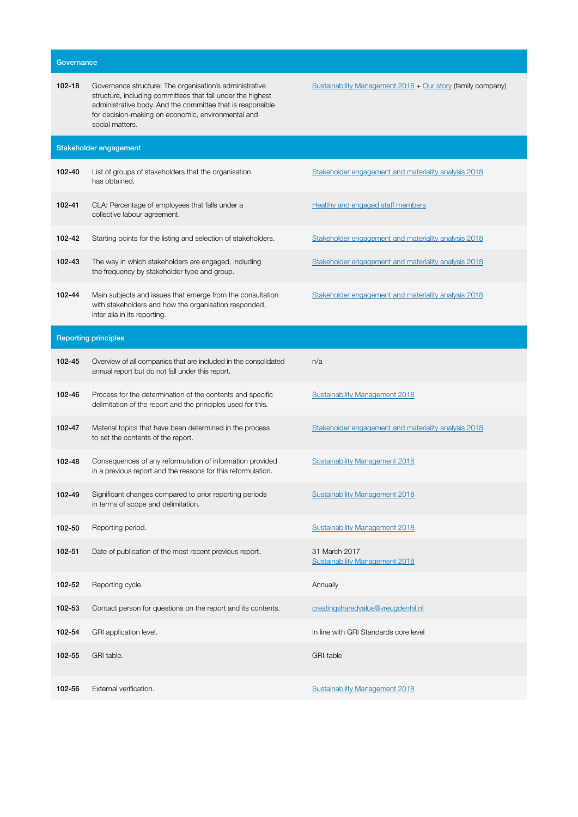| Governance |                                                                                                                                                                                                                                                               |                                                             |  |  |
|------------|---------------------------------------------------------------------------------------------------------------------------------------------------------------------------------------------------------------------------------------------------------------|-------------------------------------------------------------|--|--|
| 102-18     | Governance structure: The organisation's administrative<br>structure, including committees that fall under the highest<br>administrative body. And the committee that is responsible<br>for decision-making on economic, environmental and<br>social matters. | Sustainability Management 2018 + Our story (family company) |  |  |
|            | Stakeholder engagement                                                                                                                                                                                                                                        |                                                             |  |  |
| 102-40     | List of groups of stakeholders that the organisation<br>has obtained.                                                                                                                                                                                         | Stakeholder engagement and materiality analysis 2018        |  |  |
| 102-41     | CLA: Percentage of employees that falls under a<br>collective labour agreement.                                                                                                                                                                               | <b>Healthy and engaged staff members</b>                    |  |  |
| 102-42     | Starting points for the listing and selection of stakeholders.                                                                                                                                                                                                | Stakeholder engagement and materiality analysis 2018        |  |  |
| 102-43     | The way in which stakeholders are engaged, including<br>the frequency by stakeholder type and group.                                                                                                                                                          | Stakeholder engagement and materiality analysis 2018        |  |  |
| 102-44     | Main subjects and issues that emerge from the consultation<br>with stakeholders and how the organisation responded,<br>inter alia in its reporting.                                                                                                           | Stakeholder engagement and materiality analysis 2018        |  |  |
|            | <b>Reporting principles</b>                                                                                                                                                                                                                                   |                                                             |  |  |
| 102-45     | Overview of all companies that are included in the consolidated<br>annual report but do not fall under this report.                                                                                                                                           | n/a                                                         |  |  |
| 102-46     | Process for the determination of the contents and specific<br>delimitation of the report and the principles used for this.                                                                                                                                    | <b>Sustainability Management 2018</b>                       |  |  |
| 102-47     | Material topics that have been determined in the process<br>to set the contents of the report.                                                                                                                                                                | Stakeholder engagement and materiality analysis 2018        |  |  |
| 102-48     | Consequences of any reformulation of information provided<br>in a previous report and the reasons for this reformulation.                                                                                                                                     | <b>Sustainability Management 2018</b>                       |  |  |
| 102-49     | Significant changes compared to prior reporting periods<br>in terms of scope and delimitation.                                                                                                                                                                | <b>Sustainability Management 2018</b>                       |  |  |
| 102-50     | Reporting period.                                                                                                                                                                                                                                             | Sustainability Management 2018                              |  |  |
| 102-51     | Date of publication of the most recent previous report.                                                                                                                                                                                                       | 31 March 2017<br><b>Sustainability Management 2018</b>      |  |  |
| 102-52     | Reporting cycle.                                                                                                                                                                                                                                              | Annually                                                    |  |  |
| 102-53     | Contact person for questions on the report and its contents.                                                                                                                                                                                                  | creatingsharedvalue@vreugdenhil.nl                          |  |  |
| 102-54     | GRI application level.                                                                                                                                                                                                                                        | In line with GRI Standards core level                       |  |  |
| 102-55     | GRI table.                                                                                                                                                                                                                                                    | <b>GRI-table</b>                                            |  |  |
| 102-56     | External verification.                                                                                                                                                                                                                                        | <b>Sustainability Management 2018</b>                       |  |  |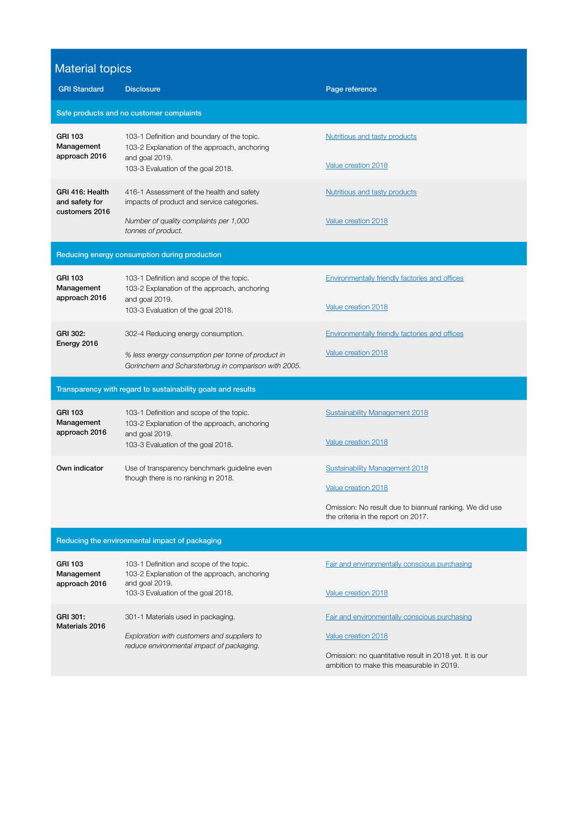## Material topics

| $\cdots$<br><b>GRI Standard</b>                              | <b>Disclosure</b>                                                                                                                                       | Page reference                                                                                                                                                 |  |  |  |
|--------------------------------------------------------------|---------------------------------------------------------------------------------------------------------------------------------------------------------|----------------------------------------------------------------------------------------------------------------------------------------------------------------|--|--|--|
| Safe products and no customer complaints                     |                                                                                                                                                         |                                                                                                                                                                |  |  |  |
| <b>GRI 103</b><br>Management<br>approach 2016                | 103-1 Definition and boundary of the topic.<br>103-2 Explanation of the approach, anchoring<br>and goal 2019.<br>103-3 Evaluation of the goal 2018.     | Nutritious and tasty products<br>Value creation 2018                                                                                                           |  |  |  |
| GRI 416: Health<br>and safety for<br>customers 2016          | 416-1 Assessment of the health and safety<br>impacts of product and service categories.<br>Number of quality complaints per 1,000<br>tonnes of product. | <b>Nutritious and tasty products</b><br>Value creation 2018                                                                                                    |  |  |  |
| Reducing energy consumption during production                |                                                                                                                                                         |                                                                                                                                                                |  |  |  |
| <b>GRI 103</b><br>Management<br>approach 2016                | 103-1 Definition and scope of the topic.<br>103-2 Explanation of the approach, anchoring<br>and goal 2019.<br>103-3 Evaluation of the goal 2018.        | Environmentally friendly factories and offices<br>Value creation 2018                                                                                          |  |  |  |
| GRI 302:<br>Energy 2016                                      | 302-4 Reducing energy consumption.<br>% less energy consumption per tonne of product in<br>Gorinchem and Scharsterbrug in comparison with 2005.         | Environmentally friendly factories and offices<br>Value creation 2018                                                                                          |  |  |  |
| Transparency with regard to sustainability goals and results |                                                                                                                                                         |                                                                                                                                                                |  |  |  |
| <b>GRI 103</b><br>Management<br>approach 2016                | 103-1 Definition and scope of the topic.<br>103-2 Explanation of the approach, anchoring<br>and goal 2019.<br>103-3 Evaluation of the goal 2018.        | <b>Sustainability Management 2018</b><br>Value creation 2018                                                                                                   |  |  |  |
| Own indicator                                                | Use of transparency benchmark guideline even<br>though there is no ranking in 2018.                                                                     | <b>Sustainability Management 2018</b><br>Value creation 2018<br>Omission: No result due to biannual ranking. We did use<br>the criteria in the report on 2017. |  |  |  |
| Reducing the environmental impact of packaging               |                                                                                                                                                         |                                                                                                                                                                |  |  |  |
| <b>GRI 103</b><br>Management<br>approach 2016                | 103-1 Definition and scope of the topic.<br>103-2 Explanation of the approach, anchoring<br>and goal 2019.<br>103-3 Evaluation of the goal 2018.        | Fair and environmentally conscious purchasing<br>Value creation 2018                                                                                           |  |  |  |
| GRI 301:<br>Materials 2016                                   | 301-1 Materials used in packaging.<br>Exploration with customers and suppliers to<br>reduce environmental impact of packaging.                          | Fair and environmentally conscious purchasing<br>Value creation 2018                                                                                           |  |  |  |